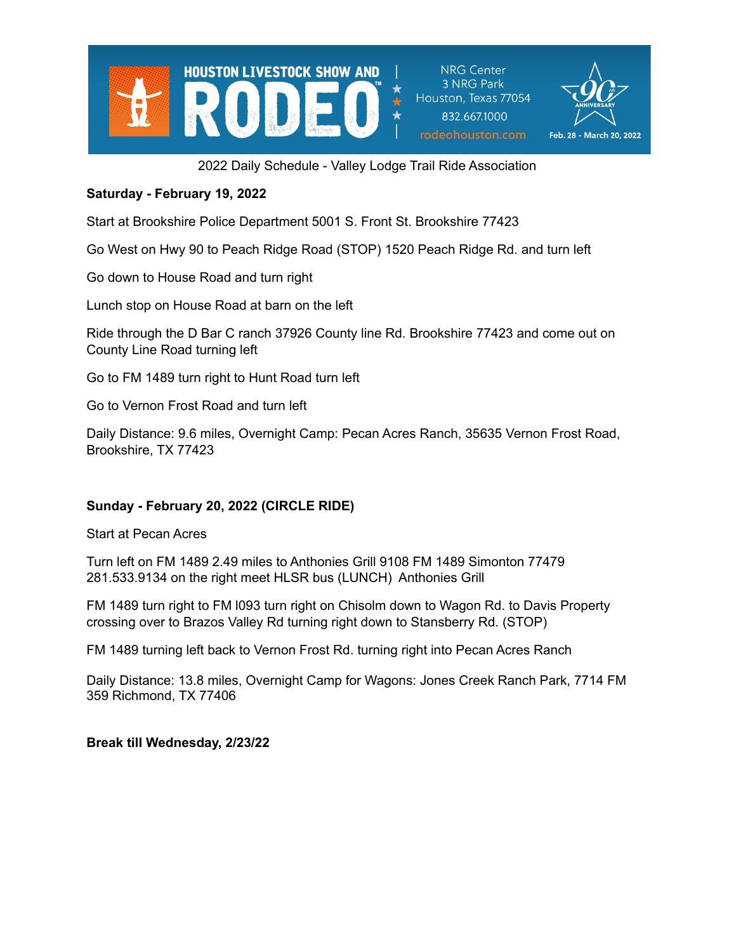

**NRG Center** 3 NRG Park Houston, Texas 77054 832.667.1000 rodeohouston.com



2022 Daily Schedule - Valley Lodge Trail Ride Association

### **Saturday - February 19, 2022**

Start at Brookshire Police Department 5001 S. Front St. Brookshire 77423

Go West on Hwy 90 to Peach Ridge Road (STOP) 1520 Peach Ridge Rd. and turn left

Go down to House Road and turn right

Lunch stop on House Road at barn on the left

Ride through the D Bar C ranch 37926 County line Rd. Brookshire 77423 and come out on County Line Road turning left

Go to FM 1489 turn right to Hunt Road turn left

Go to Vernon Frost Road and turn left

Daily Distance: 9.6 miles, Overnight Camp: Pecan Acres Ranch, 35635 Vernon Frost Road, Brookshire, TX 77423

#### **Sunday - February 20, 2022 (CIRCLE RIDE)**

Start at Pecan Acres

Turn left on FM 1489 2.49 miles to Anthonies Grill 9108 FM 1489 Simonton 77479 281.533.9134 on the right meet HLSR bus (LUNCH) Anthonies Grill

FM 1489 turn right to FM l093 turn right on Chisolm down to Wagon Rd. to Davis Property crossing over to Brazos Valley Rd turning right down to Stansberry Rd. (STOP)

FM 1489 turning left back to Vernon Frost Rd. turning right into Pecan Acres Ranch

Daily Distance: 13.8 miles, Overnight Camp for Wagons: Jones Creek Ranch Park, 7714 FM 359 Richmond, TX 77406

**Break till Wednesday, 2/23/22**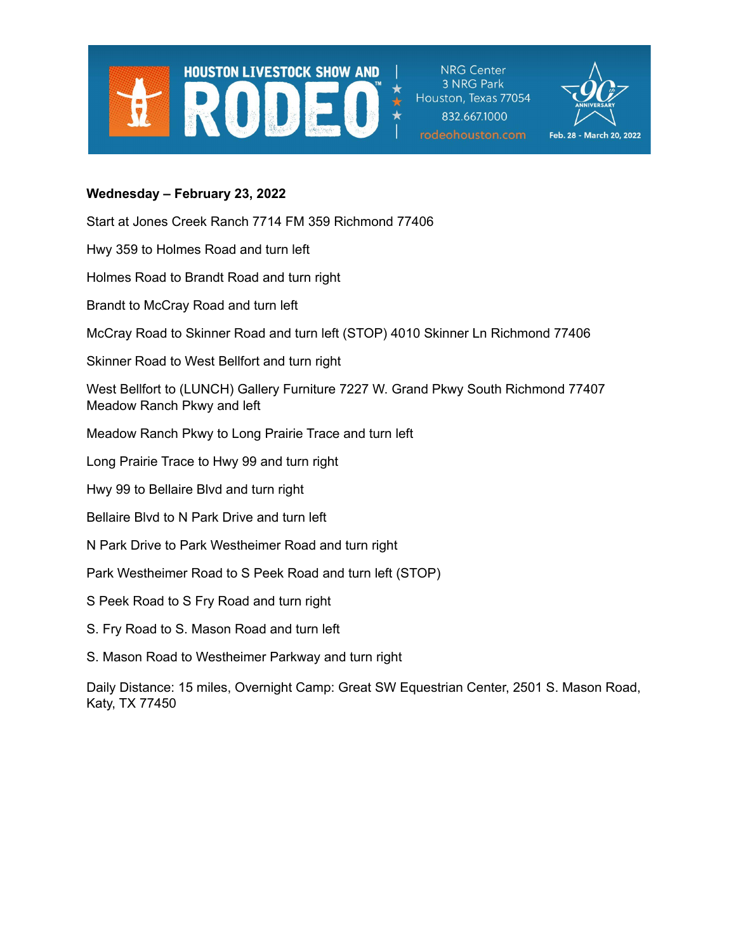

**NRG Center** 3 NRG Park Houston, Texas 77054 832.667.1000 rodeohouston.com



### **Wednesday – February 23, 2022**

Start at Jones Creek Ranch 7714 FM 359 Richmond 77406

Hwy 359 to Holmes Road and turn left

Holmes Road to Brandt Road and turn right

Brandt to McCray Road and turn left

McCray Road to Skinner Road and turn left (STOP) 4010 Skinner Ln Richmond 77406

Skinner Road to West Bellfort and turn right

West Bellfort to (LUNCH) Gallery Furniture 7227 W. Grand Pkwy South Richmond 77407 Meadow Ranch Pkwy and left

Meadow Ranch Pkwy to Long Prairie Trace and turn left

Long Prairie Trace to Hwy 99 and turn right

Hwy 99 to Bellaire Blvd and turn right

- Bellaire Blvd to N Park Drive and turn left
- N Park Drive to Park Westheimer Road and turn right

Park Westheimer Road to S Peek Road and turn left (STOP)

- S Peek Road to S Fry Road and turn right
- S. Fry Road to S. Mason Road and turn left
- S. Mason Road to Westheimer Parkway and turn right

Daily Distance: 15 miles, Overnight Camp: Great SW Equestrian Center, 2501 S. Mason Road, Katy, TX 77450